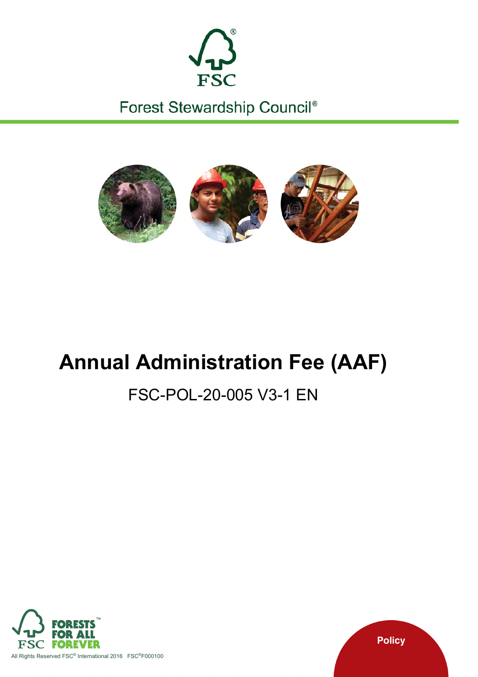

Forest Stewardship Council®



# **Annual Administration Fee (AAF)**

# FSC-POL-20-005 V3-1 EN



**Policy**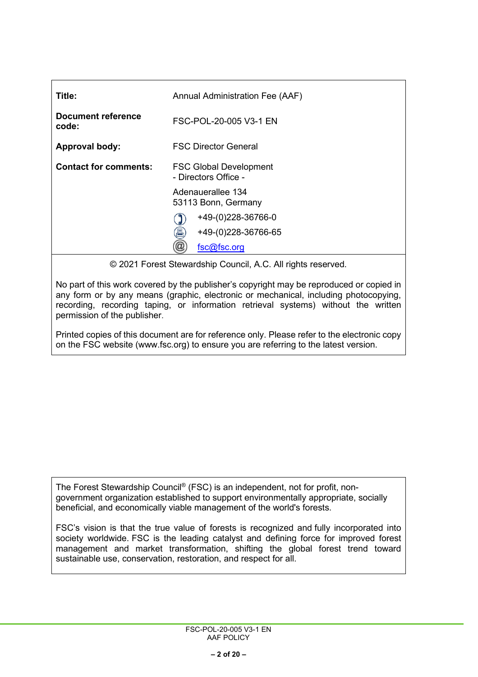| Title:                       | Annual Administration Fee (AAF)                       |  |  |
|------------------------------|-------------------------------------------------------|--|--|
| Document reference<br>code:  | FSC-POL-20-005 V3-1 EN                                |  |  |
| <b>Approval body:</b>        | <b>FSC Director General</b>                           |  |  |
| <b>Contact for comments:</b> | <b>FSC Global Development</b><br>- Directors Office - |  |  |
|                              | Adenauerallee 134<br>53113 Bonn, Germany              |  |  |
|                              | +49-(0)228-36766-0                                    |  |  |
|                              | 囯<br>+49-(0)228-36766-65                              |  |  |
|                              | fsc@fsc.org                                           |  |  |
|                              |                                                       |  |  |

© 2021 Forest Stewardship Council, A.C. All rights reserved.

No part of this work covered by the publisher's copyright may be reproduced or copied in any form or by any means (graphic, electronic or mechanical, including photocopying, recording, recording taping, or information retrieval systems) without the written permission of the publisher.

Printed copies of this document are for reference only. Please refer to the electronic copy on the FSC website (www.fsc.org) to ensure you are referring to the latest version.

The Forest Stewardship Council® (FSC) is an independent, not for profit, nongovernment organization established to support environmentally appropriate, socially beneficial, and economically viable management of the world's forests.

FSC's vision is that the true value of forests is recognized and fully incorporated into society worldwide. FSC is the leading catalyst and defining force for improved forest management and market transformation, shifting the global forest trend toward sustainable use, conservation, restoration, and respect for all.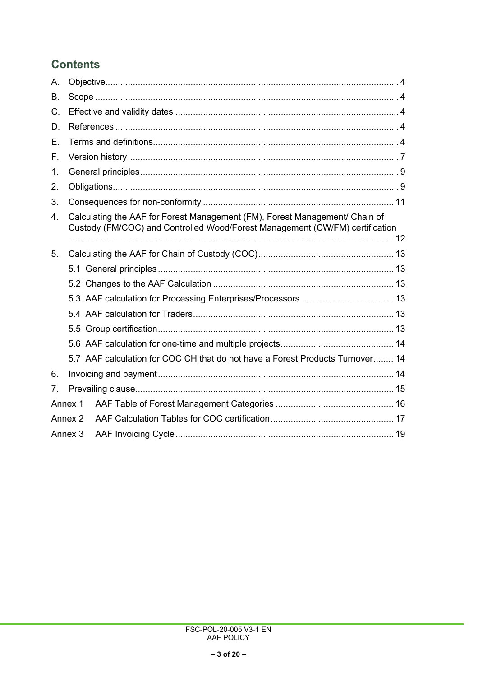# **Contents**

| А.             |                                                                                                                                                             |  |  |  |
|----------------|-------------------------------------------------------------------------------------------------------------------------------------------------------------|--|--|--|
| В.             |                                                                                                                                                             |  |  |  |
| $C_{\cdot}$    |                                                                                                                                                             |  |  |  |
| D.             |                                                                                                                                                             |  |  |  |
| Е.             |                                                                                                                                                             |  |  |  |
| F.             |                                                                                                                                                             |  |  |  |
| $\mathbf 1$ .  |                                                                                                                                                             |  |  |  |
| 2.             |                                                                                                                                                             |  |  |  |
| 3.             |                                                                                                                                                             |  |  |  |
| 4.             | Calculating the AAF for Forest Management (FM), Forest Management/ Chain of<br>Custody (FM/COC) and Controlled Wood/Forest Management (CW/FM) certification |  |  |  |
| 5.             |                                                                                                                                                             |  |  |  |
|                |                                                                                                                                                             |  |  |  |
|                |                                                                                                                                                             |  |  |  |
|                |                                                                                                                                                             |  |  |  |
|                |                                                                                                                                                             |  |  |  |
|                |                                                                                                                                                             |  |  |  |
|                |                                                                                                                                                             |  |  |  |
|                | 5.7 AAF calculation for COC CH that do not have a Forest Products Turnover 14                                                                               |  |  |  |
| 6.             |                                                                                                                                                             |  |  |  |
| 7 <sub>1</sub> |                                                                                                                                                             |  |  |  |
|                | Annex 1                                                                                                                                                     |  |  |  |
|                | Annex 2                                                                                                                                                     |  |  |  |
|                |                                                                                                                                                             |  |  |  |
|                | Annex 3                                                                                                                                                     |  |  |  |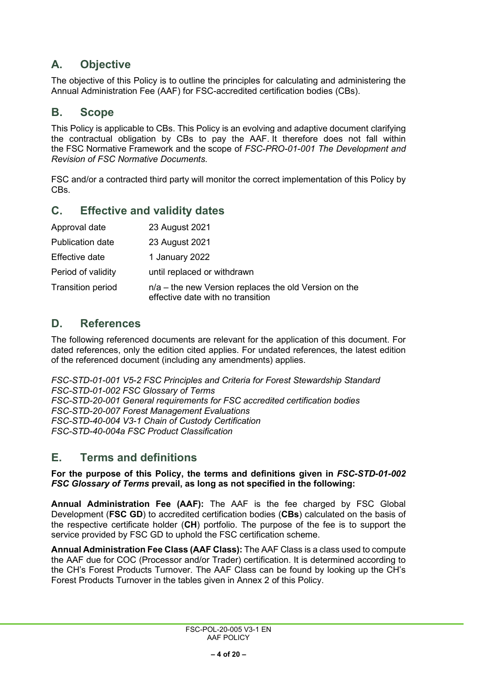# <span id="page-3-0"></span>**A. Objective**

The objective of this Policy is to outline the principles for calculating and administering the Annual Administration Fee (AAF) for FSC-accredited certification bodies (CBs).

## <span id="page-3-1"></span>**B. Scope**

This Policy is applicable to CBs. This Policy is an evolving and adaptive document clarifying the contractual obligation by CBs to pay the AAF. It therefore does not fall within the FSC Normative Framework and the scope of *FSC-PRO-01-001 The Development and Revision of FSC Normative Documents*.

FSC and/or a contracted third party will monitor the correct implementation of this Policy by CBs.

## <span id="page-3-2"></span>**C. Effective and validity dates**

| Approval date            | 23 August 2021                                                                             |
|--------------------------|--------------------------------------------------------------------------------------------|
| <b>Publication date</b>  | 23 August 2021                                                                             |
| Effective date           | 1 January 2022                                                                             |
| Period of validity       | until replaced or withdrawn                                                                |
| <b>Transition period</b> | n/a – the new Version replaces the old Version on the<br>effective date with no transition |

## <span id="page-3-3"></span>**D. References**

The following referenced documents are relevant for the application of this document. For dated references, only the edition cited applies. For undated references, the latest edition of the referenced document (including any amendments) applies.

*FSC-STD-01-001 V5-2 FSC Principles and Criteria for Forest Stewardship Standard FSC-STD-01-002 FSC Glossary of Terms FSC-STD-20-001 General requirements for FSC accredited certification bodies FSC-STD-20-007 Forest Management Evaluations FSC-STD-40-004 V3-1 Chain of Custody Certification FSC-STD-40-004a FSC Product Classification*

## <span id="page-3-4"></span>**E. Terms and definitions**

#### **For the purpose of this Policy, the terms and definitions given in** *FSC-STD-01-002 FSC Glossary of Terms* **prevail, as long as not specified in the following:**

**Annual Administration Fee (AAF):** The AAF is the fee charged by FSC Global Development (**FSC GD**) to accredited certification bodies (**CBs**) calculated on the basis of the respective certificate holder (**CH**) portfolio. The purpose of the fee is to support the service provided by FSC GD to uphold the FSC certification scheme.

**Annual Administration Fee Class (AAF Class):** The AAF Class is a class used to compute the AAF due for COC (Processor and/or Trader) certification. It is determined according to the CH's Forest Products Turnover. The AAF Class can be found by looking up the CH's Forest Products Turnover in the tables given in [Annex 2](#page-16-0) of this Policy.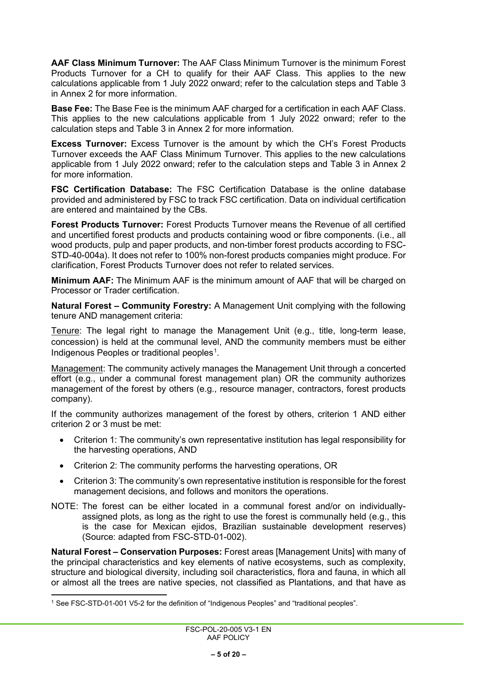**AAF Class Minimum Turnover:** The AAF Class Minimum Turnover is the minimum Forest Products Turnover for a CH to qualify for their AAF Class. This applies to the new calculations applicable from 1 July 2022 onward; refer to the calculation steps and [Table 3](#page-17-0) in [Annex 2](#page-16-0) for more information.

**Base Fee:** The Base Fee is the minimum AAF charged for a certification in each AAF Class. This applies to the new calculations applicable from 1 July 2022 onward; refer to the calculation steps and [Table 3](#page-17-0) in [Annex](#page-16-0) 2 for more information.

**Excess Turnover:** Excess Turnover is the amount by which the CH's Forest Products Turnover exceeds the AAF Class Minimum Turnover. This applies to the new calculations applicable from 1 July 2022 onward; refer to the calculation steps and [Table 3](#page-17-0) in [Annex 2](#page-16-0) for more information

**FSC Certification Database:** The FSC Certification Database is the online database provided and administered by FSC to track FSC certification. Data on individual certification are entered and maintained by the CBs.

**Forest Products Turnover:** Forest Products Turnover means the Revenue of all certified and uncertified forest products and products containing wood or fibre components. (i.e., all wood products, pulp and paper products, and non-timber forest products according to FSC-STD-40-004a). It does not refer to 100% non-forest products companies might produce. For clarification, Forest Products Turnover does not refer to related services.

**Minimum AAF:** The Minimum AAF is the minimum amount of AAF that will be charged on Processor or Trader certification.

**Natural Forest – Community Forestry:** A Management Unit complying with the following tenure AND management criteria:

Tenure: The legal right to manage the Management Unit (e.g., title, long-term lease, concession) is held at the communal level, AND the community members must be either Indigenous Peoples or traditional peoples $^1$  $^1$ .

Management: The community actively manages the Management Unit through a concerted effort (e.g., under a communal forest management plan) OR the community authorizes management of the forest by others (e.g., resource manager, contractors, forest products company).

If the community authorizes management of the forest by others, criterion 1 AND either criterion 2 or 3 must be met:

- Criterion 1: The community's own representative institution has legal responsibility for the harvesting operations, AND
- Criterion 2: The community performs the harvesting operations, OR
- Criterion 3: The community's own representative institution is responsible for the forest management decisions, and follows and monitors the operations.
- NOTE: The forest can be either located in a communal forest and/or on individuallyassigned plots, as long as the right to use the forest is communally held (e.g., this is the case for Mexican ejidos, Brazilian sustainable development reserves) (Source: adapted from FSC-STD-01-002).

**Natural Forest – Conservation Purposes:** Forest areas [Management Units] with many of the principal characteristics and key elements of native ecosystems, such as complexity, structure and biological diversity, including soil characteristics, flora and fauna, in which all or almost all the trees are native species, not classified as Plantations, and that have as

<span id="page-4-0"></span><sup>1</sup> See FSC-STD-01-001 V5-2 for the definition of "Indigenous Peoples" and "traditional peoples".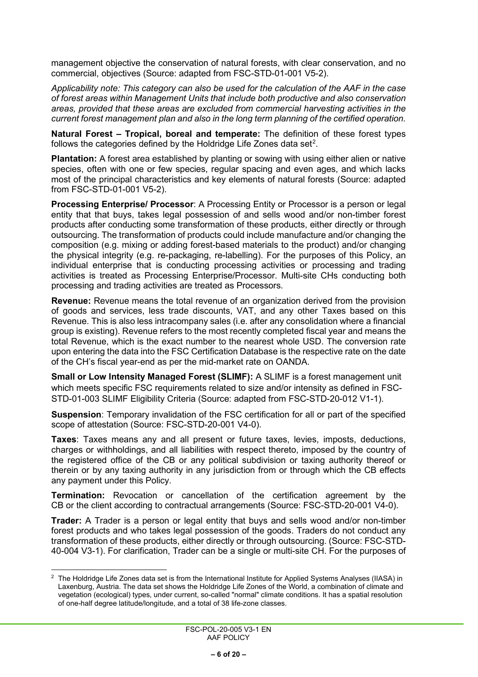management objective the conservation of natural forests, with clear conservation, and no commercial, objectives (Source: adapted from FSC-STD-01-001 V5-2).

*Applicability note: This category can also be used for the calculation of the AAF in the case of forest areas within Management Units that include both productive and also conservation areas, provided that these areas are excluded from commercial harvesting activities in the current forest management plan and also in the long term planning of the certified operation.*

**Natural Forest – Tropical, boreal and temperate:** The definition of these forest types follows the categories defined by the Holdridge Life Zones data set $^{\rm 2}.$  $^{\rm 2}.$  $^{\rm 2}.$ 

**Plantation:** A forest area established by planting or sowing with using either alien or native species, often with one or few species, regular spacing and even ages, and which lacks most of the principal characteristics and key elements of natural forests (Source: adapted from FSC-STD-01-001 V5-2).

**Processing Enterprise/ Processor**: A Processing Entity or Processor is a person or legal entity that that buys, takes legal possession of and sells wood and/or non-timber forest products after conducting some transformation of these products, either directly or through outsourcing. The transformation of products could include manufacture and/or changing the composition (e.g. mixing or adding forest-based materials to the product) and/or changing the physical integrity (e.g. re-packaging, re-labelling). For the purposes of this Policy, an individual enterprise that is conducting processing activities or processing and trading activities is treated as Processing Enterprise/Processor. Multi-site CHs conducting both processing and trading activities are treated as Processors.

**Revenue:** Revenue means the total revenue of an organization derived from the provision of goods and services, less trade discounts, VAT, and any other Taxes based on this Revenue. This is also less intracompany sales (i.e. after any consolidation where a financial group is existing). Revenue refers to the most recently completed fiscal year and means the total Revenue, which is the exact number to the nearest whole USD. The conversion rate upon entering the data into the FSC Certification Database is the respective rate on the date of the CH's fiscal year-end as per the mid-market rate on OANDA.

**Small or Low Intensity Managed Forest (SLIMF):** A SLIMF is a forest management unit which meets specific FSC requirements related to size and/or intensity as defined in FSC-STD-01-003 SLIMF Eligibility Criteria (Source: adapted from FSC-STD-20-012 V1-1).

**Suspension**: Temporary invalidation of the FSC certification for all or part of the specified scope of attestation (Source: FSC-STD-20-001 V4-0).

**Taxes**: Taxes means any and all present or future taxes, levies, imposts, deductions, charges or withholdings, and all liabilities with respect thereto, imposed by the country of the registered office of the CB or any political subdivision or taxing authority thereof or therein or by any taxing authority in any jurisdiction from or through which the CB effects any payment under this Policy.

**Termination:** Revocation or cancellation of the certification agreement by the CB or the client according to contractual arrangements (Source: FSC-STD-20-001 V4-0).

**Trader:** A Trader is a person or legal entity that buys and sells wood and/or non-timber forest products and who takes legal possession of the goods. Traders do not conduct any transformation of these products, either directly or through outsourcing. (Source: FSC-STD-40-004 V3-1). For clarification, Trader can be a single or multi-site CH. For the purposes of

<span id="page-5-0"></span><sup>2</sup> The Holdridge Life Zones data set is from the International Institute for Applied Systems Analyses (IIASA) in Laxenburg, Austria. The data set shows the Holdridge Life Zones of the World, a combination of climate and vegetation (ecological) types, under current, so-called "normal" climate conditions. It has a spatial resolution of one-half degree latitude/longitude, and a total of 38 life-zone classes.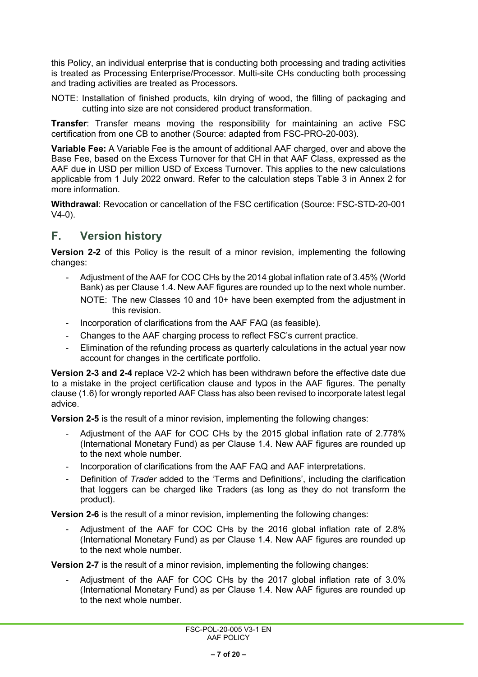this Policy, an individual enterprise that is conducting both processing and trading activities is treated as Processing Enterprise/Processor. Multi-site CHs conducting both processing and trading activities are treated as Processors.

NOTE: Installation of finished products, kiln drying of wood, the filling of packaging and cutting into size are not considered product transformation.

**Transfer**: Transfer means moving the responsibility for maintaining an active FSC certification from one CB to another (Source: adapted from FSC-PRO-20-003).

**Variable Fee:** A Variable Fee is the amount of additional AAF charged, over and above the Base Fee, based on the Excess Turnover for that CH in that AAF Class, expressed as the AAF due in USD per million USD of Excess Turnover. This applies to the new calculations applicable from 1 July 2022 onward. Refer to the calculation steps [Table 3](#page-17-0) in [Annex 2](#page-16-0) for more information.

**Withdrawal**: Revocation or cancellation of the FSC certification (Source: FSC-STD-20-001 V4-0).

## <span id="page-6-0"></span>**F. Version history**

**Version 2-2** of this Policy is the result of a minor revision, implementing the following changes:

- Adjustment of the AAF for COC CHs by the 2014 global inflation rate of 3.45% (World Bank) as per Clause 1.4. New AAF figures are rounded up to the next whole number. NOTE: The new Classes 10 and 10+ have been exempted from the adjustment in this revision.
- Incorporation of clarifications from the AAF FAQ (as feasible).
- Changes to the AAF charging process to reflect FSC's current practice.
- Elimination of the refunding process as quarterly calculations in the actual year now account for changes in the certificate portfolio.

**Version 2-3 and 2-4** replace V2-2 which has been withdrawn before the effective date due to a mistake in the project certification clause and typos in the AAF figures. The penalty clause (1.6) for wrongly reported AAF Class has also been revised to incorporate latest legal advice.

**Version 2-5** is the result of a minor revision, implementing the following changes:

- Adjustment of the AAF for COC CHs by the 2015 global inflation rate of 2.778% (International Monetary Fund) as per Clause 1.4. New AAF figures are rounded up to the next whole number.
- Incorporation of clarifications from the AAF FAQ and AAF interpretations.
- Definition of *Trader* added to the 'Terms and Definitions', including the clarification that loggers can be charged like Traders (as long as they do not transform the product).

**Version 2-6** is the result of a minor revision, implementing the following changes:

- Adjustment of the AAF for COC CHs by the 2016 global inflation rate of 2.8% (International Monetary Fund) as per Clause 1.4. New AAF figures are rounded up to the next whole number.

**Version 2-7** is the result of a minor revision, implementing the following changes:

- Adjustment of the AAF for COC CHs by the 2017 global inflation rate of 3.0% (International Monetary Fund) as per Clause 1.4. New AAF figures are rounded up to the next whole number.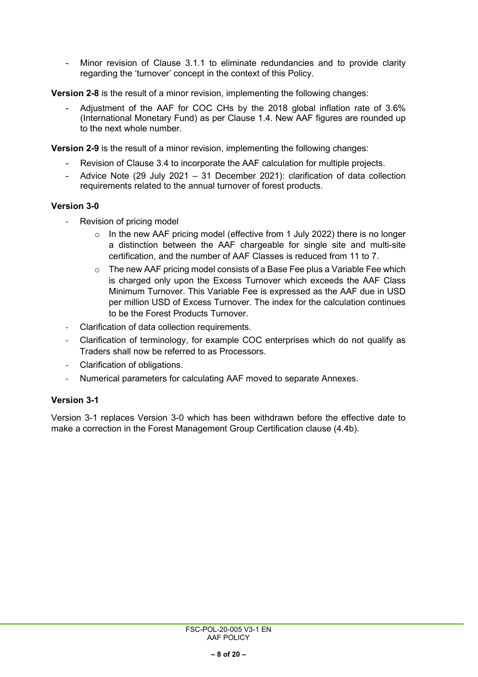Minor revision of Clause 3.1.1 to eliminate redundancies and to provide clarity regarding the 'turnover' concept in the context of this Policy.

**Version 2-8** is the result of a minor revision, implementing the following changes:

- Adjustment of the AAF for COC CHs by the 2018 global inflation rate of 3.6% (International Monetary Fund) as per Clause 1.4. New AAF figures are rounded up to the next whole number.

**Version 2-9** is the result of a minor revision, implementing the following changes:

- Revision of Clause 3.4 to incorporate the AAF calculation for multiple projects.
- Advice Note (29 July 2021 31 December 2021): clarification of data collection requirements related to the annual turnover of forest products.

### **Version 3-0**

- Revision of pricing model
	- o In the new AAF pricing model (effective from 1 July 2022) there is no longer a distinction between the AAF chargeable for single site and multi-site certification, and the number of AAF Classes is reduced from 11 to 7.
	- o The new AAF pricing model consists of a Base Fee plus a Variable Fee which is charged only upon the Excess Turnover which exceeds the AAF Class Minimum Turnover. This Variable Fee is expressed as the AAF due in USD per million USD of Excess Turnover. The index for the calculation continues to be the Forest Products Turnover.
- Clarification of data collection requirements.
- Clarification of terminology, for example COC enterprises which do not qualify as Traders shall now be referred to as Processors.
- Clarification of obligations.
- Numerical parameters for calculating AAF moved to separate Annexes.

## **Version 3-1**

Version 3-1 replaces Version 3-0 which has been withdrawn before the effective date to make a correction in the Forest Management Group Certification clause (4.4b).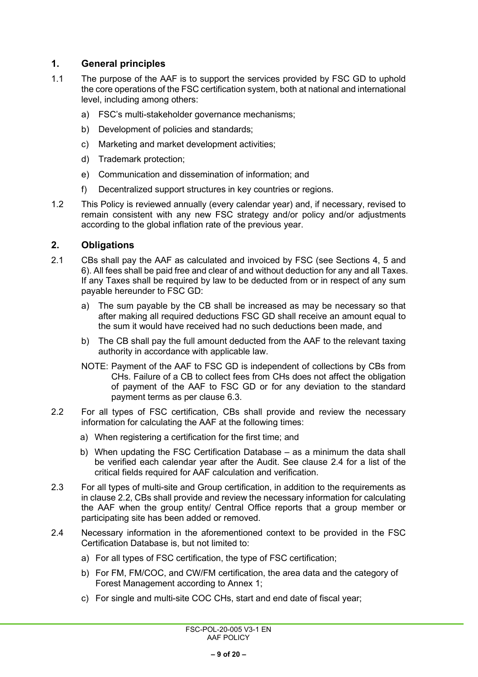## <span id="page-8-0"></span>**1. General principles**

- 1.1 The purpose of the AAF is to support the services provided by FSC GD to uphold the core operations of the FSC certification system, both at national and international level, including among others:
	- a) FSC's multi-stakeholder governance mechanisms;
	- b) Development of policies and standards;
	- c) Marketing and market development activities;
	- d) Trademark protection;
	- e) Communication and dissemination of information; and
	- f) Decentralized support structures in key countries or regions.
- 1.2 This Policy is reviewed annually (every calendar year) and, if necessary, revised to remain consistent with any new FSC strategy and/or policy and/or adjustments according to the global inflation rate of the previous year.

### <span id="page-8-1"></span>**2. Obligations**

- 2.1 CBs shall pay the AAF as calculated and invoiced by FSC (see Sections 4, [5](#page-12-0) and [6\)](#page-13-2). All fees shall be paid free and clear of and without deduction for any and all Taxes. If any Taxes shall be required by law to be deducted from or in respect of any sum payable hereunder to FSC GD:
	- a) The sum payable by the CB shall be increased as may be necessary so that after making all required deductions FSC GD shall receive an amount equal to the sum it would have received had no such deductions been made, and
	- b) The CB shall pay the full amount deducted from the AAF to the relevant taxing authority in accordance with applicable law.
	- NOTE: Payment of the AAF to FSC GD is independent of collections by CBs from CHs. Failure of a CB to collect fees from CHs does not affect the obligation of payment of the AAF to FSC GD or for any deviation to the standard payment terms as per clause [6.3.](#page-13-3)
- <span id="page-8-3"></span>2.2 For all types of FSC certification, CBs shall provide and review the necessary information for calculating the AAF at the following times:
	- a) When registering a certification for the first time; and
	- b) When updating the FSC Certification Database as a minimum the data shall be verified each calendar year after the Audit. See clause [2.4](#page-8-2) for a list of the critical fields required for AAF calculation and verification.
- 2.3 For all types of multi-site and Group certification, in addition to the requirements as in clause [2.2,](#page-8-3) CBs shall provide and review the necessary information for calculating the AAF when the group entity/ Central Office reports that a group member or participating site has been added or removed.
- <span id="page-8-2"></span>2.4 Necessary information in the aforementioned context to be provided in the FSC Certification Database is, but not limited to:
	- a) For all types of FSC certification, the type of FSC certification;
	- b) For FM, FM/COC, and CW/FM certification, the area data and the category of Forest Management according to [Annex 1;](#page-15-0)
	- c) For single and multi-site COC CHs, start and end date of fiscal year;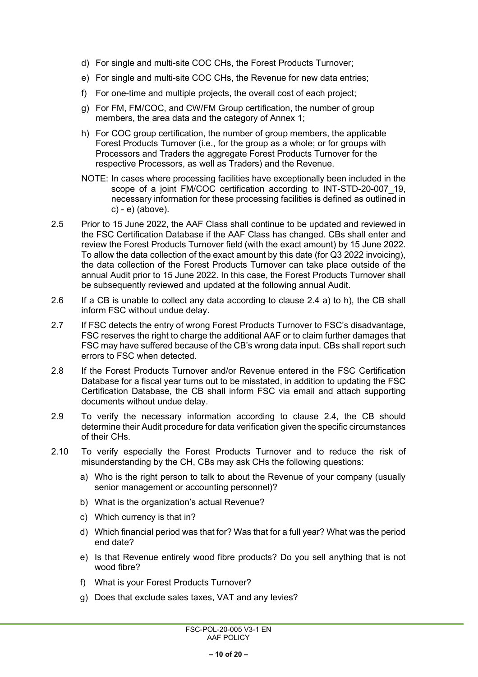- d) For single and multi-site COC CHs, the Forest Products Turnover;
- e) For single and multi-site COC CHs, the Revenue for new data entries;
- f) For one-time and multiple projects, the overall cost of each project;
- g) For FM, FM/COC, and CW/FM Group certification, the number of group members, the area data and the category of [Annex 1;](#page-15-0)
- h) For COC group certification, the number of group members, the applicable Forest Products Turnover (i.e., for the group as a whole; or for groups with Processors and Traders the aggregate Forest Products Turnover for the respective Processors, as well as Traders) and the Revenue.
- NOTE: In cases where processing facilities have exceptionally been included in the scope of a joint FM/COC certification according to INT-STD-20-007 19, necessary information for these processing facilities is defined as outlined in c) - e) (above).
- 2.5 Prior to 15 June 2022, the AAF Class shall continue to be updated and reviewed in the FSC Certification Database if the AAF Class has changed. CBs shall enter and review the Forest Products Turnover field (with the exact amount) by 15 June 2022. To allow the data collection of the exact amount by this date (for Q3 2022 invoicing), the data collection of the Forest Products Turnover can take place outside of the annual Audit prior to 15 June 2022. In this case, the Forest Products Turnover shall be subsequently reviewed and updated at the following annual Audit.
- 2.6 If a CB is unable to collect any data according to clause [2.4](#page-8-2) a) to h), the CB shall inform FSC without undue delay.
- 2.7 If FSC detects the entry of wrong Forest Products Turnover to FSC's disadvantage, FSC reserves the right to charge the additional AAF or to claim further damages that FSC may have suffered because of the CB's wrong data input. CBs shall report such errors to FSC when detected.
- 2.8 If the Forest Products Turnover and/or Revenue entered in the FSC Certification Database for a fiscal year turns out to be misstated, in addition to updating the FSC Certification Database, the CB shall inform FSC via email and attach supporting documents without undue delay.
- 2.9 To verify the necessary information according to clause [2.4,](#page-8-2) the CB should determine their Audit procedure for data verification given the specific circumstances of their CHs.
- 2.10 To verify especially the Forest Products Turnover and to reduce the risk of misunderstanding by the CH, CBs may ask CHs the following questions:
	- a) Who is the right person to talk to about the Revenue of your company (usually senior management or accounting personnel)?
	- b) What is the organization's actual Revenue?
	- c) Which currency is that in?
	- d) Which financial period was that for? Was that for a full year? What was the period end date?
	- e) Is that Revenue entirely wood fibre products? Do you sell anything that is not wood fibre?
	- f) What is your Forest Products Turnover?
	- g) Does that exclude sales taxes, VAT and any levies?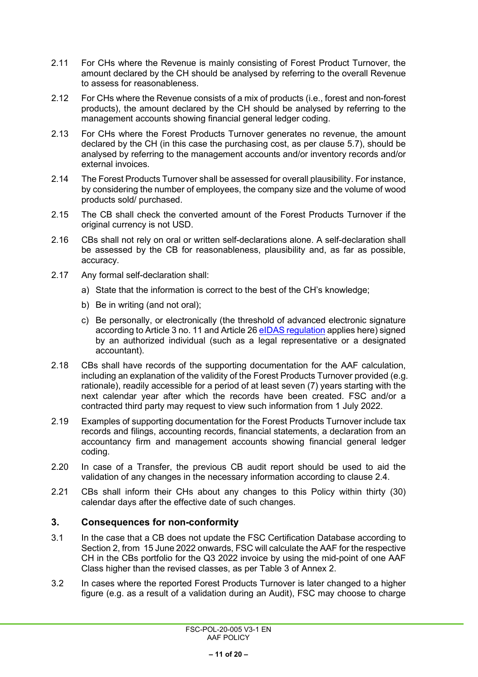- 2.11 For CHs where the Revenue is mainly consisting of Forest Product Turnover, the amount declared by the CH should be analysed by referring to the overall Revenue to assess for reasonableness.
- 2.12 For CHs where the Revenue consists of a mix of products (i.e., forest and non-forest products), the amount declared by the CH should be analysed by referring to the management accounts showing financial general ledger coding.
- 2.13 For CHs where the Forest Products Turnover generates no revenue, the amount declared by the CH (in this case the purchasing cost, as per clause [5.7\)](#page-13-1), should be analysed by referring to the management accounts and/or inventory records and/or external invoices.
- 2.14 The Forest Products Turnover shall be assessed for overall plausibility. For instance, by considering the number of employees, the company size and the volume of wood products sold/ purchased.
- 2.15 The CB shall check the converted amount of the Forest Products Turnover if the original currency is not USD.
- 2.16 CBs shall not rely on oral or written self-declarations alone. A self-declaration shall be assessed by the CB for reasonableness, plausibility and, as far as possible, accuracy.
- 2.17 Any formal self-declaration shall:
	- a) State that the information is correct to the best of the CH's knowledge;
	- b) Be in writing (and not oral);
	- c) Be personally, or electronically (the threshold of advanced electronic signature according to Article 3 no. 11 and Article 2[6 eIDAS regulation](https://ec.europa.eu/futurium/en/system/files/ged/eidas_regulation.pdf) applies here) signed by an authorized individual (such as a legal representative or a designated accountant).
- 2.18 CBs shall have records of the supporting documentation for the AAF calculation, including an explanation of the validity of the Forest Products Turnover provided (e.g. rationale), readily accessible for a period of at least seven (7) years starting with the next calendar year after which the records have been created. FSC and/or a contracted third party may request to view such information from 1 July 2022.
- 2.19 Examples of supporting documentation for the Forest Products Turnover include tax records and filings, accounting records, financial statements, a declaration from an accountancy firm and management accounts showing financial general ledger coding.
- 2.20 In case of a Transfer, the previous CB audit report should be used to aid the validation of any changes in the necessary information according to clause [2.4.](#page-8-2)
- 2.21 CBs shall inform their CHs about any changes to this Policy within thirty (30) calendar days after the effective date of such changes.

#### <span id="page-10-0"></span>**3. Consequences for non-conformity**

- 3.1 In the case that a CB does not update the FSC Certification Database according to Section 2, from 15 June 2022 onwards, FSC will calculate the AAF for the respective CH in the CBs portfolio for the Q3 2022 invoice by using the mid-point of one AAF Class higher than the revised classes, as per [Table 3](#page-17-0) of [Annex 2.](#page-16-0)
- <span id="page-10-1"></span>3.2 In cases where the reported Forest Products Turnover is later changed to a higher figure (e.g. as a result of a validation during an Audit), FSC may choose to charge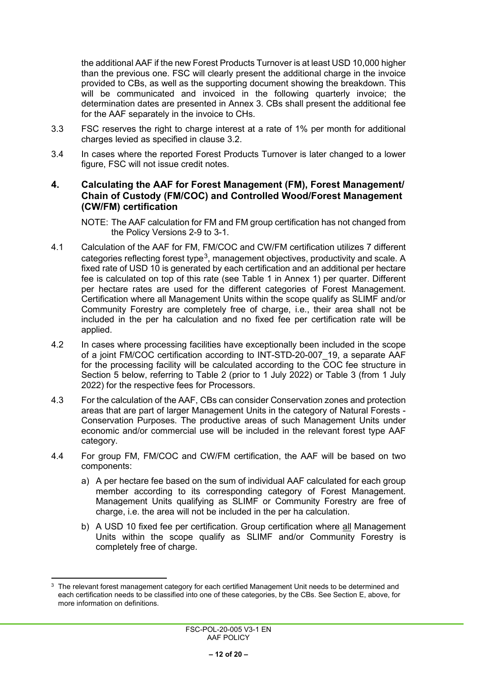the additional AAF if the new Forest Products Turnover is at least USD 10,000 higher than the previous one. FSC will clearly present the additional charge in the invoice provided to CBs, as well as the supporting document showing the breakdown. This will be communicated and invoiced in the following quarterly invoice; the determination dates are presented in [Annex 3.](#page-18-0) CBs shall present the additional fee for the AAF separately in the invoice to CHs.

- 3.3 FSC reserves the right to charge interest at a rate of 1% per month for additional charges levied as specified in clause [3.2.](#page-10-1)
- 3.4 In cases where the reported Forest Products Turnover is later changed to a lower figure, FSC will not issue credit notes.

#### <span id="page-11-0"></span>**4. Calculating the AAF for Forest Management (FM), Forest Management/ Chain of Custody (FM/COC) and Controlled Wood/Forest Management (CW/FM) certification**

NOTE: The AAF calculation for FM and FM group certification has not changed from the Policy Versions 2-9 to 3-1.

- 4.1 Calculation of the AAF for FM, FM/COC and CW/FM certification utilizes 7 different categories reflecting forest type<sup>3</sup>, management objectives, productivity and scale. A fixed rate of USD 10 is generated by each certification and an additional per hectare fee is calculated on top of this rate (see [Table 1](#page-15-1) in [Annex 1\)](#page-15-0) per quarter. Different per hectare rates are used for the different categories of Forest Management. Certification where all Management Units within the scope qualify as SLIMF and/or Community Forestry are completely free of charge, i.e., their area shall not be included in the per ha calculation and no fixed fee per certification rate will be applied.
- 4.2 In cases where processing facilities have exceptionally been included in the scope of a joint FM/COC certification according to INT-STD-20-007\_19, a separate AAF for the processing facility will be calculated according to the COC fee structure in Section [5 below,](#page-12-0) referring to [Table 2](#page-16-1) (prior to 1 July 2022) or [Table 3](#page-17-0) (from 1 July 2022) for the respective fees for Processors.
- 4.3 For the calculation of the AAF, CBs can consider Conservation zones and protection areas that are part of larger Management Units in the category of Natural Forests - Conservation Purposes. The productive areas of such Management Units under economic and/or commercial use will be included in the relevant forest type AAF category.
- 4.4 For group FM, FM/COC and CW/FM certification, the AAF will be based on two components:
	- a) A per hectare fee based on the sum of individual AAF calculated for each group member according to its corresponding category of Forest Management. Management Units qualifying as SLIMF or Community Forestry are free of charge, i.e. the area will not be included in the per ha calculation.
	- b) A USD 10 fixed fee per certification. Group certification where all Management Units within the scope qualify as SLIMF and/or Community Forestry is completely free of charge.

<span id="page-11-1"></span> $3$  The relevant forest management category for each certified Management Unit needs to be determined and each certification needs to be classified into one of these categories, by the CBs. See Section E, above, for more information on definitions.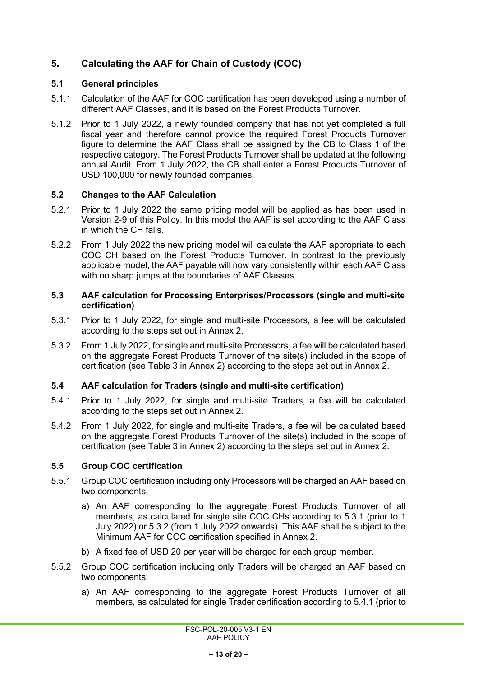## <span id="page-12-0"></span>**5. Calculating the AAF for Chain of Custody (COC)**

#### <span id="page-12-1"></span>**5.1 General principles**

- 5.1.1 Calculation of the AAF for COC certification has been developed using a number of different AAF Classes, and it is based on the Forest Products Turnover.
- 5.1.2 Prior to 1 July 2022, a newly founded company that has not yet completed a full fiscal year and therefore cannot provide the required Forest Products Turnover figure to determine the AAF Class shall be assigned by the CB to Class 1 of the respective category. The Forest Products Turnover shall be updated at the following annual Audit. From 1 July 2022, the CB shall enter a Forest Products Turnover of USD 100,000 for newly founded companies.

### <span id="page-12-2"></span>**5.2 Changes to the AAF Calculation**

- 5.2.1 Prior to 1 July 2022 the same pricing model will be applied as has been used in Version 2-9 of this Policy. In this model the AAF is set according to the AAF Class in which the CH falls.
- 5.2.2 From 1 July 2022 the new pricing model will calculate the AAF appropriate to each COC CH based on the Forest Products Turnover. In contrast to the previously applicable model, the AAF payable will now vary consistently within each AAF Class with no sharp jumps at the boundaries of AAF Classes.

#### <span id="page-12-3"></span>**5.3 AAF calculation for Processing Enterprises/Processors (single and multi-site certification)**

- <span id="page-12-6"></span>5.3.1 Prior to 1 July 2022, for single and multi-site Processors, a fee will be calculated according to the steps set out in [Annex 2.](#page-16-0)
- <span id="page-12-7"></span>5.3.2 From 1 July 2022, for single and multi-site Processors, a fee will be calculated based on the aggregate Forest Products Turnover of the site(s) included in the scope of certification (see [Table 3](#page-17-0) in [Annex 2\)](#page-16-0) according to the steps set out in [Annex 2.](#page-16-0)

#### <span id="page-12-4"></span>**5.4 AAF calculation for Traders (single and multi-site certification)**

- <span id="page-12-8"></span>5.4.1 Prior to 1 July 2022, for single and multi-site Traders, a fee will be calculated according to the steps set out in [Annex 2.](#page-16-0)
- <span id="page-12-9"></span>5.4.2 From 1 July 2022, for single and multi-site Traders, a fee will be calculated based on the aggregate Forest Products Turnover of the site(s) included in the scope of certification (see [Table 3](#page-17-0) in [Annex 2\)](#page-16-0) according to the steps set out in [Annex 2.](#page-16-0)

#### <span id="page-12-5"></span>**5.5 Group COC certification**

- 5.5.1 Group COC certification including only Processors will be charged an AAF based on two components:
	- a) An AAF corresponding to the aggregate Forest Products Turnover of all members, as calculated for single site COC CHs according to [5.3.1](#page-12-6) (prior to 1 July 2022) or [5.3.2](#page-12-7) (from 1 July 2022 onwards). This AAF shall be subject to the Minimum AAF for COC certification specified in [Annex 2.](#page-16-0)
	- b) A fixed fee of USD 20 per year will be charged for each group member.
- 5.5.2 Group COC certification including only Traders will be charged an AAF based on two components:
	- a) An AAF corresponding to the aggregate Forest Products Turnover of all members, as calculated for single Trader certification according to [5.4.1](#page-12-8) (prior to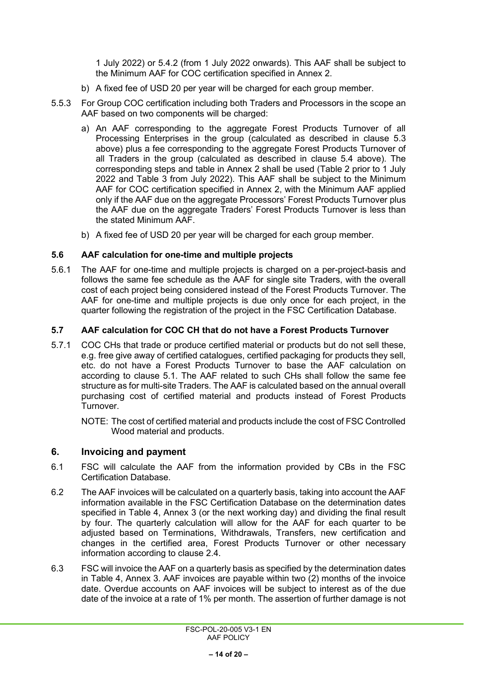1 July 2022) or [5.4.2](#page-12-9) (from 1 July 2022 onwards). This AAF shall be subject to the Minimum AAF for COC certification specified in [Annex 2.](#page-16-0)

- b) A fixed fee of USD 20 per year will be charged for each group member.
- 5.5.3 For Group COC certification including both Traders and Processors in the scope an AAF based on two components will be charged:
	- a) An AAF corresponding to the aggregate Forest Products Turnover of all Processing Enterprises in the group (calculated as described in clause [5.3](#page-12-3)  [above\)](#page-12-3) plus a fee corresponding to the aggregate Forest Products Turnover of all Traders in the group (calculated as described in clause [5.4 above\)](#page-12-4). The corresponding steps and table in [Annex 2](#page-16-0) shall be used [\(Table 2](#page-16-1) prior to 1 July 2022 and [Table 3](#page-17-0) from July 2022). This AAF shall be subject to the Minimum AAF for COC certification specified in [Annex 2,](#page-16-0) with the Minimum AAF applied only if the AAF due on the aggregate Processors' Forest Products Turnover plus the AAF due on the aggregate Traders' Forest Products Turnover is less than the stated Minimum AAF.
	- b) A fixed fee of USD 20 per year will be charged for each group member.

### <span id="page-13-0"></span>**5.6 AAF calculation for one-time and multiple projects**

5.6.1 The AAF for one-time and multiple projects is charged on a per-project-basis and follows the same fee schedule as the AAF for single site Traders, with the overall cost of each project being considered instead of the Forest Products Turnover. The AAF for one-time and multiple projects is due only once for each project, in the quarter following the registration of the project in the FSC Certification Database.

### <span id="page-13-1"></span>**5.7 AAF calculation for COC CH that do not have a Forest Products Turnover**

5.7.1 COC CHs that trade or produce certified material or products but do not sell these, e.g. free give away of certified catalogues, certified packaging for products they sell, etc. do not have a Forest Products Turnover to base the AAF calculation on according to clause [5.1.](#page-12-1) The AAF related to such CHs shall follow the same fee structure as for multi-site Traders. The AAF is calculated based on the annual overall purchasing cost of certified material and products instead of Forest Products Turnover.

NOTE: The cost of certified material and products include the cost of FSC Controlled Wood material and products.

## <span id="page-13-2"></span>**6. Invoicing and payment**

- 6.1 FSC will calculate the AAF from the information provided by CBs in the FSC Certification Database.
- 6.2 The AAF invoices will be calculated on a quarterly basis, taking into account the AAF information available in the FSC Certification Database on the determination dates specified in [Table 4,](#page-18-1) [Annex 3](#page-18-0) (or the next working day) and dividing the final result by four. The quarterly calculation will allow for the AAF for each quarter to be adjusted based on Terminations, Withdrawals, Transfers, new certification and changes in the certified area, Forest Products Turnover or other necessary information according to clause [2.4.](#page-8-2)
- <span id="page-13-3"></span>6.3 FSC will invoice the AAF on a quarterly basis as specified by the determination dates in [Table 4,](#page-18-1) [Annex 3.](#page-18-0) AAF invoices are payable within two  $(2)$  months of the invoice date. Overdue accounts on AAF invoices will be subject to interest as of the due date of the invoice at a rate of 1% per month. The assertion of further damage is not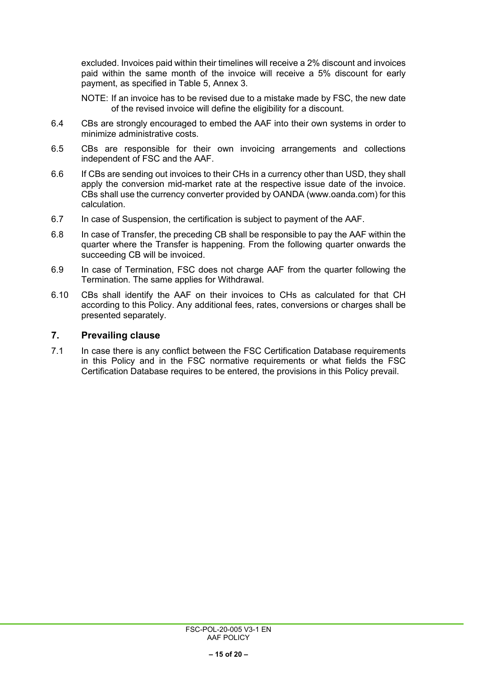excluded. Invoices paid within their timelines will receive a 2% discount and invoices paid within the same month of the invoice will receive a 5% discount for early payment, as specified in [Table 5,](#page-18-2) [Annex 3.](#page-18-0)

NOTE: If an invoice has to be revised due to a mistake made by FSC, the new date of the revised invoice will define the eligibility for a discount.

- 6.4 CBs are strongly encouraged to embed the AAF into their own systems in order to minimize administrative costs.
- 6.5 CBs are responsible for their own invoicing arrangements and collections independent of FSC and the AAF.
- 6.6 If CBs are sending out invoices to their CHs in a currency other than USD, they shall apply the conversion mid-market rate at the respective issue date of the invoice. CBs shall use the currency converter provided by OANDA (www.oanda.com) for this calculation.
- 6.7 In case of Suspension, the certification is subject to payment of the AAF.
- 6.8 In case of Transfer, the preceding CB shall be responsible to pay the AAF within the quarter where the Transfer is happening. From the following quarter onwards the succeeding CB will be invoiced.
- 6.9 In case of Termination, FSC does not charge AAF from the quarter following the Termination. The same applies for Withdrawal.
- 6.10 CBs shall identify the AAF on their invoices to CHs as calculated for that CH according to this Policy. Any additional fees, rates, conversions or charges shall be presented separately.

#### <span id="page-14-0"></span>**7. Prevailing clause**

7.1 In case there is any conflict between the FSC Certification Database requirements in this Policy and in the FSC normative requirements or what fields the FSC Certification Database requires to be entered, the provisions in this Policy prevail.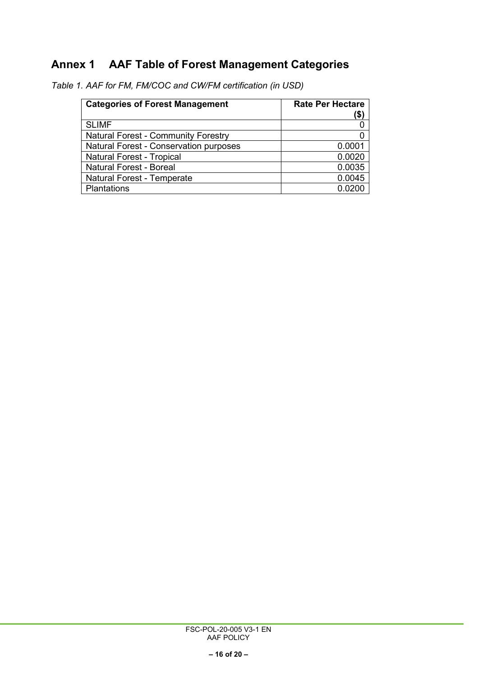# <span id="page-15-0"></span>**Annex 1 AAF Table of Forest Management Categories**

| <b>Categories of Forest Management</b>        | <b>Rate Per Hectare</b><br>\$ |
|-----------------------------------------------|-------------------------------|
| <b>SLIMF</b>                                  |                               |
| <b>Natural Forest - Community Forestry</b>    |                               |
| <b>Natural Forest - Conservation purposes</b> | 0.0001                        |
| <b>Natural Forest - Tropical</b>              | 0.0020                        |
| <b>Natural Forest - Boreal</b>                | 0.0035                        |
| <b>Natural Forest - Temperate</b>             | 0.0045                        |
| Plantations                                   | 0.0200                        |

<span id="page-15-1"></span>*Table 1. AAF for FM, FM/COC and CW/FM certification (in USD)*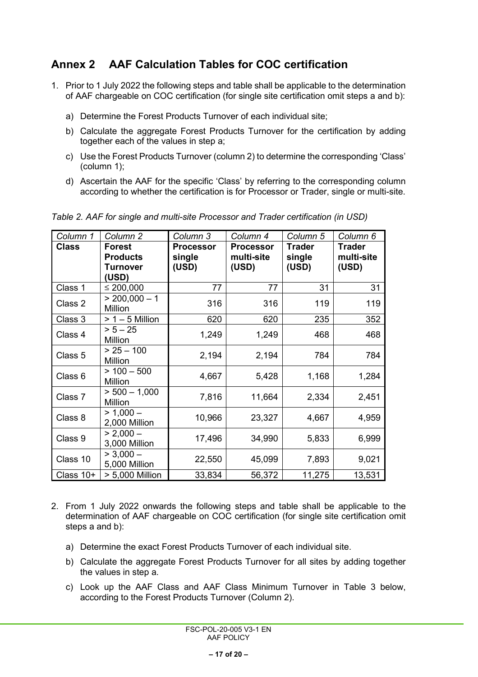# <span id="page-16-0"></span>**Annex 2 AAF Calculation Tables for COC certification**

- 1. Prior to 1 July 2022 the following steps and table shall be applicable to the determination of AAF chargeable on COC certification (for single site certification omit steps a and b):
	- a) Determine the Forest Products Turnover of each individual site;
	- b) Calculate the aggregate Forest Products Turnover for the certification by adding together each of the values in step a;
	- c) Use the Forest Products Turnover (column 2) to determine the corresponding 'Class' (column 1);
	- d) Ascertain the AAF for the specific 'Class' by referring to the corresponding column according to whether the certification is for Processor or Trader, single or multi-site.

*Column 1 Column 2 Column 3 Column 4 Column 5 Column 6* **Class Forest Products Turnover (USD) Processor single (USD) Processor multi-site (USD) Trader single (USD) Trader multi-site (USD)**  $\textsf{Class 1} \quad \textcolor{blue}{\mid} \leq 200,\!000$  77 77 77 31 31 Class 2  $\begin{array}{|l} \hline > 200,000-1 \\ \hline \text{Million} \end{array}$ Million 119 316 316 119 119 Class 3  $> 1 - 5$  Million 620 620 235 352<br>Class  $\frac{25}{25}$   $\frac{25}{25}$   $\frac{620}{25}$   $\frac{620}{25}$   $\frac{235}{25}$   $\frac{352}{25}$ Class 4  $\bigcap_{\text{Million}}$ Million 1,249 1,249 468 468 Class 5  $\bigg| \begin{array}{cc} > 25 - 100 \\ \text{Million} \end{array}$ Million 2,194 2,194 784 784 Class 6  $> 100 - 500$ <br>Million Million 4,667 5,428 1,168 1,284 Class 7  $>$  500 – 1,000 Million 7,816 11,664 2,334 2,451 Class 8  $\Big|$  > 1,000 –  $2,000 - 1,000 - 10,966$  23,327 4,667 4,959 Class 9  $| > 2,000 \begin{array}{|c|c|c|c|c|}\n\hline\n3,000 \text{ million} & 17,496 & 34,990 & 5,833 & 6,999 \\
\hline\n>3,000 - 5,833 & 5,999 & 5,833 & 6,999\n\end{array}$ Class 10  $\begin{array}{|l|c|c|c|c|c|}\n\hline\n5,000 \text{ million} & 22,550 & 45,099 & 7,893 & 9,021 \\
\hline\n>5,000 \text{ million} & 33,834 & 56,372 & 11,275 & 13,531 \\
\hline\n\end{array}$ Class 10+  $\vert$  > 5,000 Million 33,834 56,372 | 11,275 | 13,531

<span id="page-16-1"></span>*Table 2. AAF for single and multi-site Processor and Trader certification (in USD)*

- 2. From 1 July 2022 onwards the following steps and table shall be applicable to the determination of AAF chargeable on COC certification (for single site certification omit steps a and b):
	- a) Determine the exact Forest Products Turnover of each individual site.
	- b) Calculate the aggregate Forest Products Turnover for all sites by adding together the values in step a.
	- c) Look up the AAF Class and AAF Class Minimum Turnover in [Table 3](#page-17-0) below, according to the Forest Products Turnover (Column 2).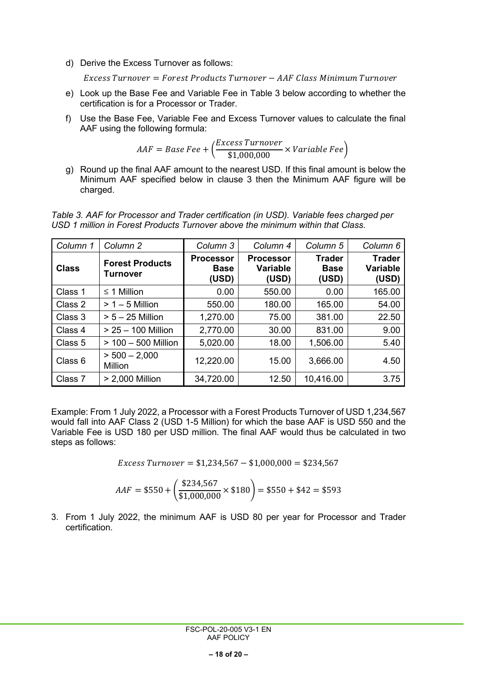d) Derive the Excess Turnover as follows:

 $Excess\,Turnover = Forest\,Products\,Turnover - AAF\; Class\,Minimum\,Turnover$ 

- e) Look up the Base Fee and Variable Fee in [Table 3](#page-17-0) below according to whether the certification is for a Processor or Trader.
- f) Use the Base Fee, Variable Fee and Excess Turnover values to calculate the final AAF using the following formula:

$$
AAF = Base\,Fee + \left(\frac{Excess\,Turnover}{\$1,000,000} \times Variable\,Fee\right)
$$

g) Round up the final AAF amount to the nearest USD. If this final amount is below the Minimum AAF specified below in clause 3 then the Minimum AAF figure will be charged.

<span id="page-17-0"></span>*Table 3. AAF for Processor and Trader certification (in USD). Variable fees charged per USD 1 million in Forest Products Turnover above the minimum within that Class.*

| Column 1     | Column <sub>2</sub>                | Column 3                                 | Column 4                                     | Column <sub>5</sub>                   | Column <sub>6</sub>                       |
|--------------|------------------------------------|------------------------------------------|----------------------------------------------|---------------------------------------|-------------------------------------------|
| <b>Class</b> | <b>Forest Products</b><br>Turnover | <b>Processor</b><br><b>Base</b><br>(USD) | <b>Processor</b><br><b>Variable</b><br>(USD) | <b>Trader</b><br><b>Base</b><br>(USD) | <b>Trader</b><br><b>Variable</b><br>(USD) |
| Class 1      | $\leq$ 1 Million                   | 0.00                                     | 550.00                                       | 0.00                                  | 165.00                                    |
| Class 2      | $> 1 - 5$ Million                  | 550.00                                   | 180.00                                       | 165.00                                | 54.00                                     |
| Class 3      | $> 5 - 25$ Million                 | 1,270.00                                 | 75.00                                        | 381.00                                | 22.50                                     |
| Class 4      | $> 25 - 100$ Million               | 2,770.00                                 | 30.00                                        | 831.00                                | 9.00                                      |
| Class 5      | $> 100 - 500$ Million              | 5,020.00                                 | 18.00                                        | 1,506.00                              | 5.40                                      |
| Class 6      | $> 500 - 2,000$<br><b>Million</b>  | 12,220.00                                | 15.00                                        | 3,666.00                              | 4.50                                      |
| Class 7      | > 2,000 Million                    | 34,720.00                                | 12.50                                        | 10,416.00                             | 3.75                                      |

Example: From 1 July 2022, a Processor with a Forest Products Turnover of USD 1,234,567 would fall into AAF Class 2 (USD 1-5 Million) for which the base AAF is USD 550 and the Variable Fee is USD 180 per USD million. The final AAF would thus be calculated in two steps as follows:

 $Excess Turnover = $1,234,567 - $1,000,000 = $234,567$ 

$$
AAF = $550 + \left(\frac{$234,567}{$1,000,000} \times $180\right) = $550 + $42 = $593
$$

3. From 1 July 2022, the minimum AAF is USD 80 per year for Processor and Trader certification.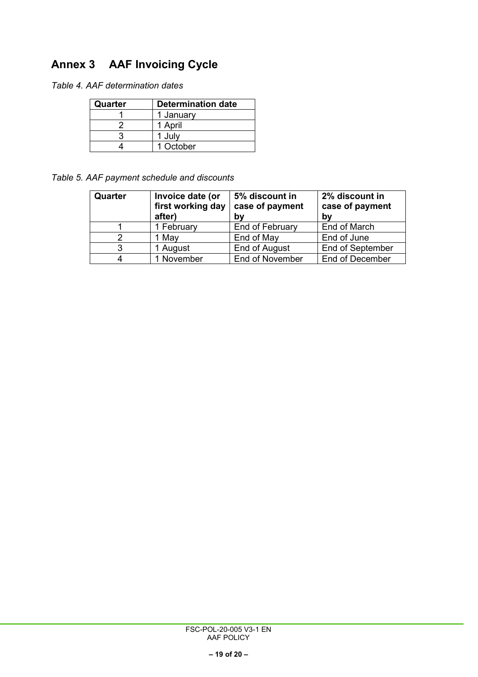# <span id="page-18-0"></span>**Annex 3 AAF Invoicing Cycle**

<span id="page-18-1"></span>*Table 4. AAF determination dates*

| Quarter | <b>Determination date</b> |  |
|---------|---------------------------|--|
|         | 1 January                 |  |
|         | 1 April                   |  |
|         | 1 July                    |  |
|         | 1 October                 |  |

<span id="page-18-2"></span>*Table 5. AAF payment schedule and discounts*

| Quarter | Invoice date (or<br>first working day<br>after) | 5% discount in<br>case of payment<br>b٧ | 2% discount in<br>case of payment<br>by |
|---------|-------------------------------------------------|-----------------------------------------|-----------------------------------------|
|         | 1 February                                      | End of February                         | End of March                            |
|         | 1 May                                           | End of May                              | End of June                             |
| 3       | 1 August                                        | End of August                           | <b>End of September</b>                 |
|         | November                                        | End of November                         | <b>End of December</b>                  |